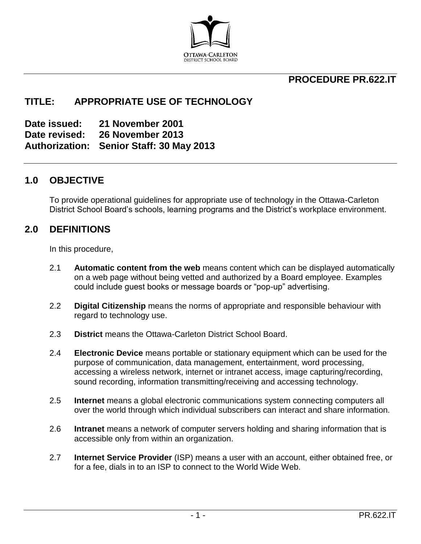

## **PROCEDURE PR.622.IT**

## **TITLE: APPROPRIATE USE OF TECHNOLOGY**

**Date issued: 21 November 2001 Date revised: 26 November 2013 Authorization: Senior Staff: 30 May 2013** 

## **1.0 OBJECTIVE**

To provide operational guidelines for appropriate use of technology in the Ottawa-Carleton District School Board's schools, learning programs and the District's workplace environment.

## **2.0 DEFINITIONS**

In this procedure,

- 2.1 **Automatic content from the web** means content which can be displayed automatically on a web page without being vetted and authorized by a Board employee. Examples could include guest books or message boards or "pop-up" advertising.
- 2.2 **Digital Citizenship** means the norms of appropriate and responsible behaviour with regard to technology use.
- 2.3 **District** means the Ottawa-Carleton District School Board.
- 2.4 **Electronic Device** means portable or stationary equipment which can be used for the purpose of communication, data management, entertainment, word processing, accessing a wireless network, internet or intranet access, image capturing/recording, sound recording, information transmitting/receiving and accessing technology.
- 2.5 **Internet** means a global electronic communications system connecting computers all over the world through which individual subscribers can interact and share information.
- 2.6 **Intranet** means a network of computer servers holding and sharing information that is accessible only from within an organization.
- 2.7 **Internet Service Provider** (ISP) means a user with an account, either obtained free, or for a fee, dials in to an ISP to connect to the World Wide Web.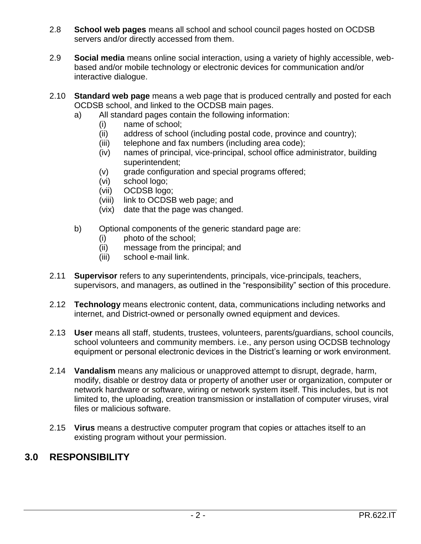- 2.8 **School web pages** means all school and school council pages hosted on OCDSB servers and/or directly accessed from them.
- 2.9 **Social media** means online social interaction, using a variety of highly accessible, webbased and/or mobile technology or electronic devices for communication and/or interactive dialogue.
- 2.10 **Standard web page** means a web page that is produced centrally and posted for each OCDSB school, and linked to the OCDSB main pages.
	- a) All standard pages contain the following information:
		- (i) name of school;
		- (ii) address of school (including postal code, province and country);
		- (iii) telephone and fax numbers (including area code);
		- (iv) names of principal, vice-principal, school office administrator, building superintendent;
		- (v) grade configuration and special programs offered;
		- (vi) school logo;
		- (vii) OCDSB logo;
		- (viii) link to OCDSB web page; and
		- (vix) date that the page was changed.
	- b) Optional components of the generic standard page are:
		- (i) photo of the school;
		- (ii) message from the principal; and
		- (iii) school e-mail link.
- 2.11 **Supervisor** refers to any superintendents, principals, vice-principals, teachers, supervisors, and managers, as outlined in the "responsibility" section of this procedure.
- 2.12 **Technology** means electronic content, data, communications including networks and internet, and District-owned or personally owned equipment and devices.
- 2.13 **User** means all staff, students, trustees, volunteers, parents/guardians, school councils, school volunteers and community members. i.e., any person using OCDSB technology equipment or personal electronic devices in the District's learning or work environment.
- 2.14 **Vandalism** means any malicious or unapproved attempt to disrupt, degrade, harm, modify, disable or destroy data or property of another user or organization, computer or network hardware or software, wiring or network system itself. This includes, but is not limited to, the uploading, creation transmission or installation of computer viruses, viral files or malicious software.
- 2.15 **Virus** means a destructive computer program that copies or attaches itself to an existing program without your permission.

# **3.0 RESPONSIBILITY**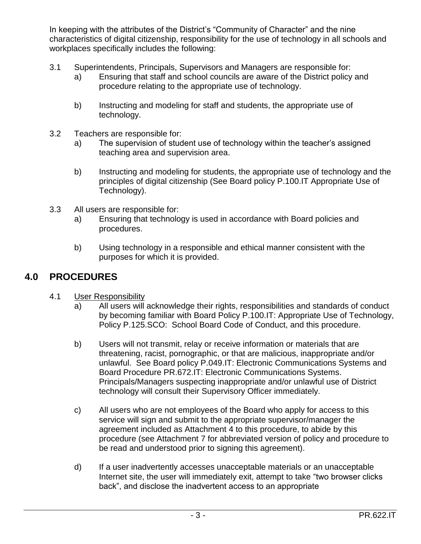In keeping with the attributes of the District's "Community of Character" and the nine characteristics of digital citizenship, responsibility for the use of technology in all schools and workplaces specifically includes the following:

- 3.1 Superintendents, Principals, Supervisors and Managers are responsible for:
	- a) Ensuring that staff and school councils are aware of the District policy and procedure relating to the appropriate use of technology.
	- b) Instructing and modeling for staff and students, the appropriate use of technology.
- 3.2 Teachers are responsible for:
	- a) The supervision of student use of technology within the teacher's assigned teaching area and supervision area.
	- b) Instructing and modeling for students, the appropriate use of technology and the principles of digital citizenship (See Board policy P.100.IT Appropriate Use of Technology).
- 3.3 All users are responsible for:
	- a) Ensuring that technology is used in accordance with Board policies and procedures.
	- b) Using technology in a responsible and ethical manner consistent with the purposes for which it is provided.

# **4.0 PROCEDURES**

- 4.1 User Responsibility
	- a) All users will acknowledge their rights, responsibilities and standards of conduct by becoming familiar with Board Policy P.100.IT: Appropriate Use of Technology, Policy P.125.SCO: School Board Code of Conduct, and this procedure.
	- b) Users will not transmit, relay or receive information or materials that are threatening, racist, pornographic, or that are malicious, inappropriate and/or unlawful. See Board policy P.049.IT: Electronic Communications Systems and Board Procedure PR.672.IT: Electronic Communications Systems. Principals/Managers suspecting inappropriate and/or unlawful use of District technology will consult their Supervisory Officer immediately.
	- c) All users who are not employees of the Board who apply for access to this service will sign and submit to the appropriate supervisor/manager the agreement included as Attachment 4 to this procedure, to abide by this procedure (see Attachment 7 for abbreviated version of policy and procedure to be read and understood prior to signing this agreement).
	- d) If a user inadvertently accesses unacceptable materials or an unacceptable Internet site, the user will immediately exit, attempt to take "two browser clicks back", and disclose the inadvertent access to an appropriate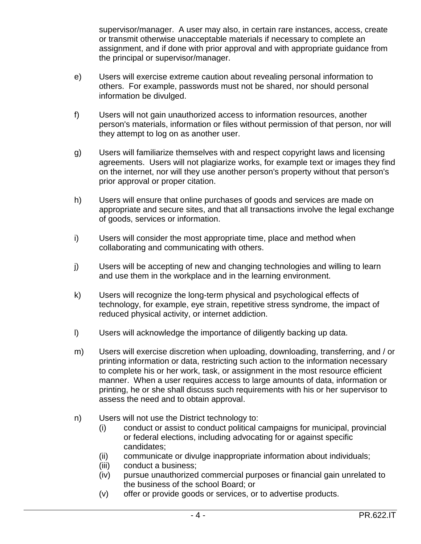supervisor/manager. A user may also, in certain rare instances, access, create or transmit otherwise unacceptable materials if necessary to complete an assignment, and if done with prior approval and with appropriate guidance from the principal or supervisor/manager.

- e) Users will exercise extreme caution about revealing personal information to others. For example, passwords must not be shared, nor should personal information be divulged.
- f) Users will not gain unauthorized access to information resources, another person's materials, information or files without permission of that person, nor will they attempt to log on as another user.
- g) Users will familiarize themselves with and respect copyright laws and licensing agreements. Users will not plagiarize works, for example text or images they find on the internet, nor will they use another person's property without that person's prior approval or proper citation.
- h) Users will ensure that online purchases of goods and services are made on appropriate and secure sites, and that all transactions involve the legal exchange of goods, services or information.
- i) Users will consider the most appropriate time, place and method when collaborating and communicating with others.
- j) Users will be accepting of new and changing technologies and willing to learn and use them in the workplace and in the learning environment.
- k) Users will recognize the long-term physical and psychological effects of technology, for example, eye strain, repetitive stress syndrome, the impact of reduced physical activity, or internet addiction.
- l) Users will acknowledge the importance of diligently backing up data.
- m) Users will exercise discretion when uploading, downloading, transferring, and / or printing information or data, restricting such action to the information necessary to complete his or her work, task, or assignment in the most resource efficient manner. When a user requires access to large amounts of data, information or printing, he or she shall discuss such requirements with his or her supervisor to assess the need and to obtain approval.
- n) Users will not use the District technology to:
	- (i) conduct or assist to conduct political campaigns for municipal, provincial or federal elections, including advocating for or against specific candidates;
	- (ii) communicate or divulge inappropriate information about individuals;
	- (iii) conduct a business;
	- (iv) pursue unauthorized commercial purposes or financial gain unrelated to the business of the school Board; or
	- (v) offer or provide goods or services, or to advertise products.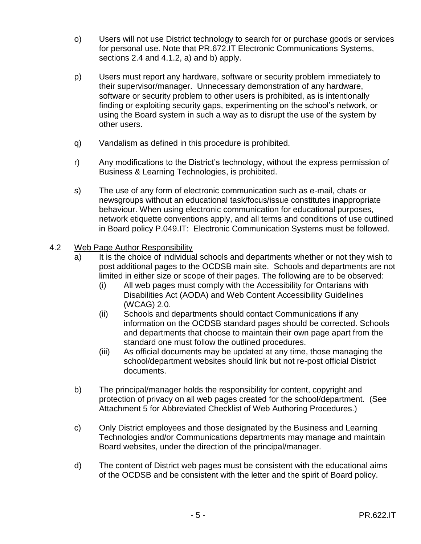- o) Users will not use District technology to search for or purchase goods or services for personal use. Note that PR.672.IT Electronic Communications Systems, sections 2.4 and 4.1.2, a) and b) apply.
- p) Users must report any hardware, software or security problem immediately to their supervisor/manager. Unnecessary demonstration of any hardware, software or security problem to other users is prohibited, as is intentionally finding or exploiting security gaps, experimenting on the school's network, or using the Board system in such a way as to disrupt the use of the system by other users.
- q) Vandalism as defined in this procedure is prohibited.
- r) Any modifications to the District's technology, without the express permission of Business & Learning Technologies, is prohibited.
- s) The use of any form of electronic communication such as e-mail, chats or newsgroups without an educational task/focus/issue constitutes inappropriate behaviour. When using electronic communication for educational purposes, network etiquette conventions apply, and all terms and conditions of use outlined in Board policy P.049.IT: Electronic Communication Systems must be followed.

## 4.2 Web Page Author Responsibility

- a) It is the choice of individual schools and departments whether or not they wish to post additional pages to the OCDSB main site. Schools and departments are not limited in either size or scope of their pages. The following are to be observed:
	- (i) All web pages must comply with the Accessibility for Ontarians with Disabilities Act (AODA) and Web Content Accessibility Guidelines (WCAG) 2.0.
	- (ii) Schools and departments should contact Communications if any information on the OCDSB standard pages should be corrected. Schools and departments that choose to maintain their own page apart from the standard one must follow the outlined procedures.
	- (iii) As official documents may be updated at any time, those managing the school/department websites should link but not re-post official District documents.
- b) The principal/manager holds the responsibility for content, copyright and protection of privacy on all web pages created for the school/department. (See Attachment 5 for Abbreviated Checklist of Web Authoring Procedures.)
- c) Only District employees and those designated by the Business and Learning Technologies and/or Communications departments may manage and maintain Board websites, under the direction of the principal/manager.
- d) The content of District web pages must be consistent with the educational aims of the OCDSB and be consistent with the letter and the spirit of Board policy.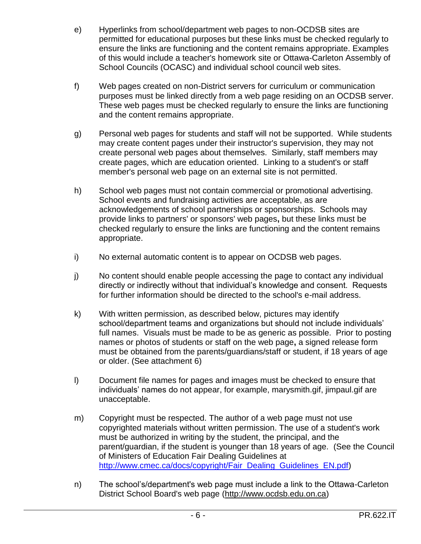- e) Hyperlinks from school/department web pages to non-OCDSB sites are permitted for educational purposes but these links must be checked regularly to ensure the links are functioning and the content remains appropriate. Examples of this would include a teacher's homework site or Ottawa-Carleton Assembly of School Councils (OCASC) and individual school council web sites.
- f) Web pages created on non-District servers for curriculum or communication purposes must be linked directly from a web page residing on an OCDSB server. These web pages must be checked regularly to ensure the links are functioning and the content remains appropriate.
- g) Personal web pages for students and staff will not be supported. While students may create content pages under their instructor's supervision, they may not create personal web pages about themselves. Similarly, staff members may create pages, which are education oriented. Linking to a student's or staff member's personal web page on an external site is not permitted.
- h) School web pages must not contain commercial or promotional advertising. School events and fundraising activities are acceptable, as are acknowledgements of school partnerships or sponsorships. Schools may provide links to partners' or sponsors' web pages**,** but these links must be checked regularly to ensure the links are functioning and the content remains appropriate.
- i) No external automatic content is to appear on OCDSB web pages.
- j) No content should enable people accessing the page to contact any individual directly or indirectly without that individual's knowledge and consent. Requests for further information should be directed to the school's e-mail address.
- k) With written permission, as described below, pictures may identify school/department teams and organizations but should not include individuals' full names. Visuals must be made to be as generic as possible. Prior to posting names or photos of students or staff on the web page**,** a signed release form must be obtained from the parents/guardians/staff or student, if 18 years of age or older. (See attachment 6)
- l) Document file names for pages and images must be checked to ensure that individuals' names do not appear, for example, marysmith.gif, jimpaul.gif are unacceptable.
- m) Copyright must be respected. The author of a web page must not use copyrighted materials without written permission. The use of a student's work must be authorized in writing by the student, the principal, and the parent/guardian, if the student is younger than 18 years of age. (See the Council of Ministers of Education Fair Dealing Guidelines at [http://www.cmec.ca/docs/copyright/Fair\\_Dealing\\_Guidelines\\_EN.pdf\)](http://www.cmec.ca/docs/copyright/Fair_Dealing_Guidelines_EN.pdf)
- n) The school's/department's web page must include a link to the Ottawa-Carleton District School Board's web page [\(http://www.ocdsb.edu.on.ca\)](http://www.ocdsb.edu.on.ca/)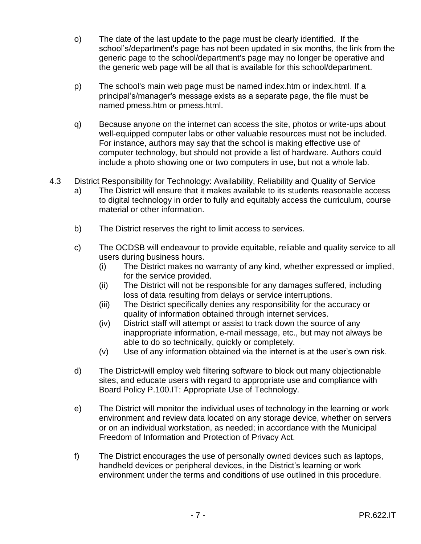- o) The date of the last update to the page must be clearly identified. If the school's/department's page has not been updated in six months, the link from the generic page to the school/department's page may no longer be operative and the generic web page will be all that is available for this school/department.
- p) The school's main web page must be named index.htm or index.html. If a principal's/manager's message exists as a separate page, the file must be named pmess.htm or pmess.html.
- q) Because anyone on the internet can access the site, photos or write-ups about well-equipped computer labs or other valuable resources must not be included. For instance, authors may say that the school is making effective use of computer technology, but should not provide a list of hardware. Authors could include a photo showing one or two computers in use, but not a whole lab.
- 4.3 District Responsibility for Technology: Availability, Reliability and Quality of Service
	- a) The District will ensure that it makes available to its students reasonable access to digital technology in order to fully and equitably access the curriculum, course material or other information.
	- b) The District reserves the right to limit access to services.
	- c) The OCDSB will endeavour to provide equitable, reliable and quality service to all users during business hours.
		- (i) The District makes no warranty of any kind, whether expressed or implied, for the service provided.
		- (ii) The District will not be responsible for any damages suffered, including loss of data resulting from delays or service interruptions.
		- (iii) The District specifically denies any responsibility for the accuracy or quality of information obtained through internet services.
		- (iv) District staff will attempt or assist to track down the source of any inappropriate information, e-mail message, etc., but may not always be able to do so technically, quickly or completely.
		- (v) Use of any information obtained via the internet is at the user's own risk.
	- d) The District will employ web filtering software to block out many objectionable sites, and educate users with regard to appropriate use and compliance with Board Policy P.100.IT: Appropriate Use of Technology.
	- e) The District will monitor the individual uses of technology in the learning or work environment and review data located on any storage device, whether on servers or on an individual workstation, as needed; in accordance with the Municipal Freedom of Information and Protection of Privacy Act.
	- f) The District encourages the use of personally owned devices such as laptops, handheld devices or peripheral devices, in the District's learning or work environment under the terms and conditions of use outlined in this procedure.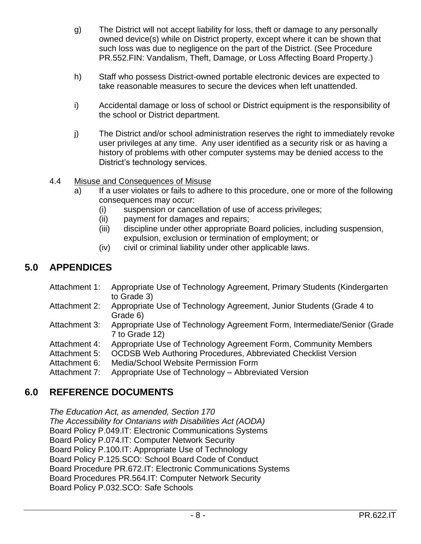- g) The District will not accept liability for loss, theft or damage to any personally owned device(s) while on District property, except where it can be shown that such loss was due to negligence on the part of the District. (See Procedure PR.552.FIN: Vandalism, Theft, Damage, or Loss Affecting Board Property.)
- h) Staff who possess District-owned portable electronic devices are expected to take reasonable measures to secure the devices when left unattended.
- i) Accidental damage or loss of school or District equipment is the responsibility of the school or District department.
- j) The District and/or school administration reserves the right to immediately revoke user privileges at any time. Any user identified as a security risk or as having a history of problems with other computer systems may be denied access to the District's technology services.

## 4.4 Misuse and Consequences of Misuse

- a) If a user violates or fails to adhere to this procedure, one or more of the following consequences may occur:
	- (i) suspension or cancellation of use of access privileges;
	- (ii) payment for damages and repairs;
	- (iii) discipline under other appropriate Board policies, including suspension, expulsion, exclusion or termination of employment; or
	- (iv) civil or criminal liability under other applicable laws.

# **5.0 APPENDICES**

- Attachment 1: Appropriate Use of Technology Agreement, Primary Students (Kindergarten to Grade 3)
- Attachment 2: Appropriate Use of Technology Agreement, Junior Students (Grade 4 to Grade 6)
- Attachment 3: Appropriate Use of Technology Agreement Form, Intermediate/Senior (Grade 7 to Grade 12)
- Attachment 4: Appropriate Use of Technology Agreement Form, Community Members
- Attachment 5: OCDSB Web Authoring Procedures, Abbreviated Checklist Version
- Attachment 6: Media/School Website Permission Form
- Attachment 7: Appropriate Use of Technology Abbreviated Version

## **6.0 REFERENCE DOCUMENTS**

*The Education Act, as amended, Section 170 The Accessibility for Ontarians with Disabilities Act (AODA)* Board Policy P.049.IT: Electronic Communications Systems Board Policy P.074.IT: Computer Network Security Board Policy P.100.IT: Appropriate Use of Technology Board Policy P.125.SCO: School Board Code of Conduct Board Procedure PR.672.IT: Electronic Communications Systems Board Procedures PR.564.IT: Computer Network Security Board Policy P.032.SCO: Safe Schools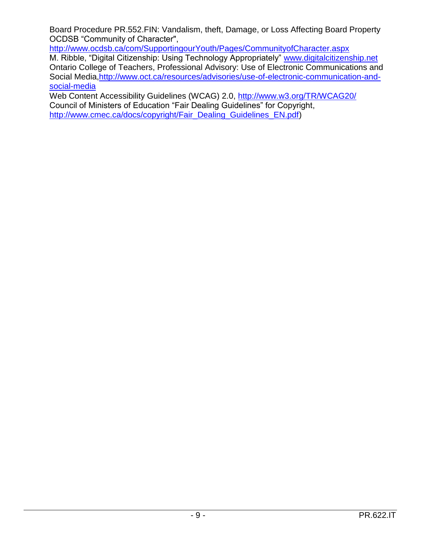Board Procedure PR.552.FIN: Vandalism, theft, Damage, or Loss Affecting Board Property OCDSB "Community of Character",

<http://www.ocdsb.ca/com/SupportingourYouth/Pages/CommunityofCharacter.aspx>

M. Ribble, "Digital Citizenship: Using Technology Appropriately" [www.digitalcitizenship.net](http://www.digitalcitizenship.net/) Ontario College of Teachers, Professional Advisory: Use of Electronic Communications and Social Media[,http://www.oct.ca/resources/advisories/use-of-electronic-communication-and](http://www.oct.ca/resources/advisories/use-of-electronic-communication-and-social-media)[social-media](http://www.oct.ca/resources/advisories/use-of-electronic-communication-and-social-media)

Web Content Accessibility Guidelines (WCAG) 2.0,<http://www.w3.org/TR/WCAG20/> Council of Ministers of Education "Fair Dealing Guidelines" for Copyright, [http://www.cmec.ca/docs/copyright/Fair\\_Dealing\\_Guidelines\\_EN.pdf\)](http://www.cmec.ca/docs/copyright/Fair_Dealing_Guidelines_EN.pdf)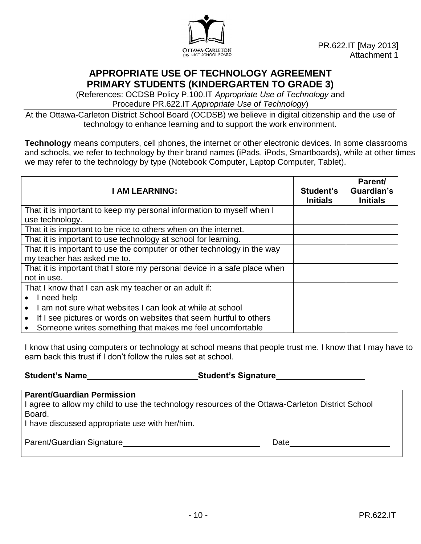

## **APPROPRIATE USE OF TECHNOLOGY AGREEMENT PRIMARY STUDENTS (KINDERGARTEN TO GRADE 3)**

(References: OCDSB Policy P.100.IT *Appropriate Use of Technology* and Procedure PR.622.IT *Appropriate Use of Technology*)

At the Ottawa-Carleton District School Board (OCDSB) we believe in digital citizenship and the use of technology to enhance learning and to support the work environment.

**Technology** means computers, cell phones, the internet or other electronic devices. In some classrooms and schools, we refer to technology by their brand names (iPads, iPods, Smartboards), while at other times we may refer to the technology by type (Notebook Computer, Laptop Computer, Tablet).

| <b>I AM LEARNING:</b>                                                     | Student's<br><b>Initials</b> | Parent/<br>Guardian's<br><b>Initials</b> |
|---------------------------------------------------------------------------|------------------------------|------------------------------------------|
| That it is important to keep my personal information to myself when I     |                              |                                          |
| use technology.                                                           |                              |                                          |
| That it is important to be nice to others when on the internet.           |                              |                                          |
| That it is important to use technology at school for learning.            |                              |                                          |
| That it is important to use the computer or other technology in the way   |                              |                                          |
| my teacher has asked me to.                                               |                              |                                          |
| That it is important that I store my personal device in a safe place when |                              |                                          |
| not in use.                                                               |                              |                                          |
| That I know that I can ask my teacher or an adult if:                     |                              |                                          |
| I need help                                                               |                              |                                          |
| I am not sure what websites I can look at while at school                 |                              |                                          |
| If I see pictures or words on websites that seem hurtful to others        |                              |                                          |
| Someone writes something that makes me feel uncomfortable<br>$\bullet$    |                              |                                          |

I know that using computers or technology at school means that people trust me. I know that I may have to earn back this trust if I don't follow the rules set at school.

**Student's Name Student's Signature**

#### **Parent/Guardian Permission**

I agree to allow my child to use the technology resources of the Ottawa-Carleton District School Board.

I have discussed appropriate use with her/him.

Parent/Guardian Signature **Date** Date Date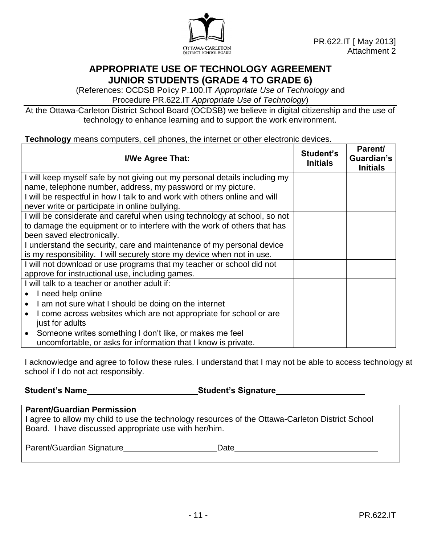

## **APPROPRIATE USE OF TECHNOLOGY AGREEMENT JUNIOR STUDENTS (GRADE 4 TO GRADE 6)**

(References: OCDSB Policy P.100.IT *Appropriate Use of Technology* and Procedure PR.622.IT *Appropriate Use of Technology*)

At the Ottawa-Carleton District School Board (OCDSB) we believe in digital citizenship and the use of technology to enhance learning and to support the work environment.

#### **Technology** means computers, cell phones, the internet or other electronic devices.

| I/We Agree That:                                                                | Student's<br><b>Initials</b> | Parent/<br>Guardian's<br><b>Initials</b> |
|---------------------------------------------------------------------------------|------------------------------|------------------------------------------|
| I will keep myself safe by not giving out my personal details including my      |                              |                                          |
| name, telephone number, address, my password or my picture.                     |                              |                                          |
| I will be respectful in how I talk to and work with others online and will      |                              |                                          |
| never write or participate in online bullying.                                  |                              |                                          |
| I will be considerate and careful when using technology at school, so not       |                              |                                          |
| to damage the equipment or to interfere with the work of others that has        |                              |                                          |
| been saved electronically.                                                      |                              |                                          |
| I understand the security, care and maintenance of my personal device           |                              |                                          |
| is my responsibility. I will securely store my device when not in use.          |                              |                                          |
| I will not download or use programs that my teacher or school did not           |                              |                                          |
| approve for instructional use, including games.                                 |                              |                                          |
| I will talk to a teacher or another adult if:                                   |                              |                                          |
| I need help online                                                              |                              |                                          |
| I am not sure what I should be doing on the internet<br>$\bullet$               |                              |                                          |
| I come across websites which are not appropriate for school or are<br>$\bullet$ |                              |                                          |
| just for adults                                                                 |                              |                                          |
| Someone writes something I don't like, or makes me feel                         |                              |                                          |
| uncomfortable, or asks for information that I know is private.                  |                              |                                          |

I acknowledge and agree to follow these rules. I understand that I may not be able to access technology at school if I do not act responsibly.

**Student's Name Student's Signature**

| <b>Parent/Guardian Permission</b><br>I agree to allow my child to use the technology resources of the Ottawa-Carleton District School<br>Board. I have discussed appropriate use with her/him. |      |
|------------------------------------------------------------------------------------------------------------------------------------------------------------------------------------------------|------|
| Parent/Guardian Signature                                                                                                                                                                      | Date |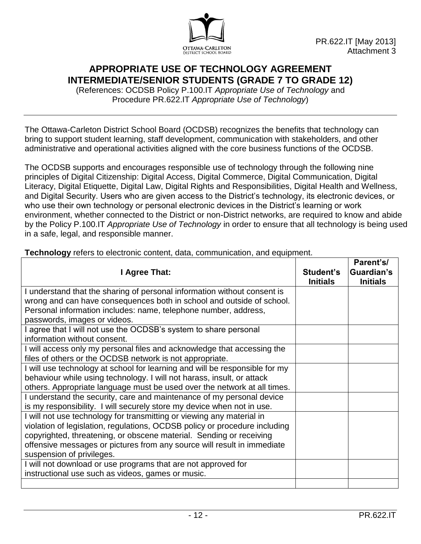

## **APPROPRIATE USE OF TECHNOLOGY AGREEMENT INTERMEDIATE/SENIOR STUDENTS (GRADE 7 TO GRADE 12)**

(References: OCDSB Policy P.100.IT *Appropriate Use of Technology* and Procedure PR.622.IT *Appropriate Use of Technology*)

The Ottawa-Carleton District School Board (OCDSB) recognizes the benefits that technology can bring to support student learning, staff development, communication with stakeholders, and other administrative and operational activities aligned with the core business functions of the OCDSB.

The OCDSB supports and encourages responsible use of technology through the following nine principles of Digital Citizenship: Digital Access, Digital Commerce, Digital Communication, Digital Literacy, Digital Etiquette, Digital Law, Digital Rights and Responsibilities, Digital Health and Wellness, and Digital Security. Users who are given access to the District's technology, its electronic devices, or who use their own technology or personal electronic devices in the District's learning or work environment, whether connected to the District or non-District networks, are required to know and abide by the Policy P.100.IT *Appropriate Use of Technology* in order to ensure that all technology is being used in a safe, legal, and responsible manner.

| I Agree That:                                                                                                                                                                                                                                                                                                                      | Student's<br><b>Initials</b> | Parent's/<br>Guardian's<br><b>Initials</b> |
|------------------------------------------------------------------------------------------------------------------------------------------------------------------------------------------------------------------------------------------------------------------------------------------------------------------------------------|------------------------------|--------------------------------------------|
| I understand that the sharing of personal information without consent is                                                                                                                                                                                                                                                           |                              |                                            |
| wrong and can have consequences both in school and outside of school.                                                                                                                                                                                                                                                              |                              |                                            |
| Personal information includes: name, telephone number, address,                                                                                                                                                                                                                                                                    |                              |                                            |
| passwords, images or videos.                                                                                                                                                                                                                                                                                                       |                              |                                            |
| I agree that I will not use the OCDSB's system to share personal<br>information without consent.                                                                                                                                                                                                                                   |                              |                                            |
| I will access only my personal files and acknowledge that accessing the<br>files of others or the OCDSB network is not appropriate.                                                                                                                                                                                                |                              |                                            |
| I will use technology at school for learning and will be responsible for my<br>behaviour while using technology. I will not harass, insult, or attack<br>others. Appropriate language must be used over the network at all times.                                                                                                  |                              |                                            |
| I understand the security, care and maintenance of my personal device<br>is my responsibility. I will securely store my device when not in use.                                                                                                                                                                                    |                              |                                            |
| I will not use technology for transmitting or viewing any material in<br>violation of legislation, regulations, OCDSB policy or procedure including<br>copyrighted, threatening, or obscene material. Sending or receiving<br>offensive messages or pictures from any source will result in immediate<br>suspension of privileges. |                              |                                            |
| I will not download or use programs that are not approved for<br>instructional use such as videos, games or music.                                                                                                                                                                                                                 |                              |                                            |
|                                                                                                                                                                                                                                                                                                                                    |                              |                                            |

**Technology** refers to electronic content, data, communication, and equipment.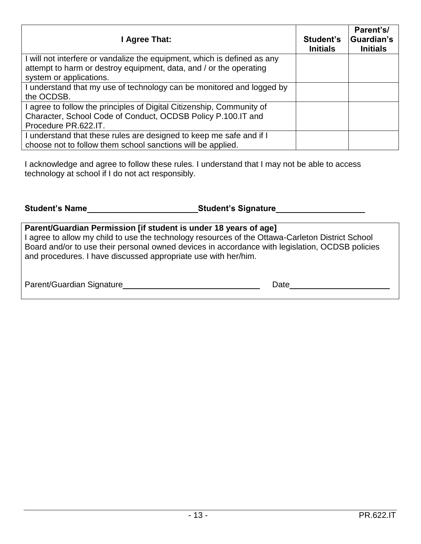| I Agree That:                                                                                 | Student's<br><b>Initials</b> | Parent's/<br>Guardian's<br><b>Initials</b> |
|-----------------------------------------------------------------------------------------------|------------------------------|--------------------------------------------|
| I will not interfere or vandalize the equipment, which is defined as any                      |                              |                                            |
| attempt to harm or destroy equipment, data, and / or the operating<br>system or applications. |                              |                                            |
| I understand that my use of technology can be monitored and logged by                         |                              |                                            |
| the OCDSB.                                                                                    |                              |                                            |
| I agree to follow the principles of Digital Citizenship, Community of                         |                              |                                            |
| Character, School Code of Conduct, OCDSB Policy P.100.IT and                                  |                              |                                            |
| Procedure PR.622.IT.                                                                          |                              |                                            |
| I understand that these rules are designed to keep me safe and if I                           |                              |                                            |
| choose not to follow them school sanctions will be applied.                                   |                              |                                            |

I acknowledge and agree to follow these rules. I understand that I may not be able to access technology at school if I do not act responsibly.

| <b>Student's Name</b> | <b>_Student's Signature</b> |
|-----------------------|-----------------------------|
|-----------------------|-----------------------------|

| Parent/Guardian Permission [if student is under 18 years of age]                                 |
|--------------------------------------------------------------------------------------------------|
| I agree to allow my child to use the technology resources of the Ottawa-Carleton District School |
| Board and/or to use their personal owned devices in accordance with legislation, OCDSB policies  |
| and procedures. I have discussed appropriate use with her/him.                                   |
|                                                                                                  |

| Parent/Guardian Signature | Date |
|---------------------------|------|
|                           |      |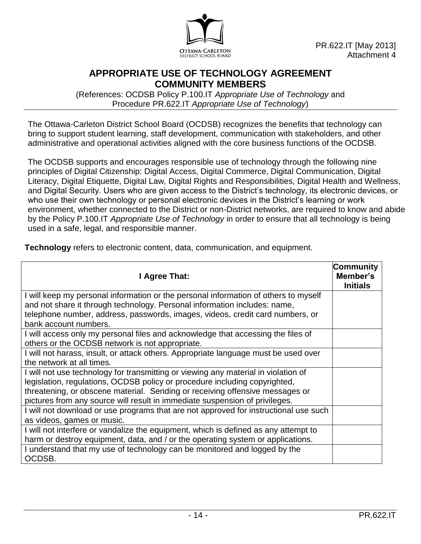

## **APPROPRIATE USE OF TECHNOLOGY AGREEMENT COMMUNITY MEMBERS**

(References: OCDSB Policy P.100.IT *Appropriate Use of Technology* and Procedure PR.622.IT *Appropriate Use of Technology*)

The Ottawa-Carleton District School Board (OCDSB) recognizes the benefits that technology can bring to support student learning, staff development, communication with stakeholders, and other administrative and operational activities aligned with the core business functions of the OCDSB.

The OCDSB supports and encourages responsible use of technology through the following nine principles of Digital Citizenship: Digital Access, Digital Commerce, Digital Communication, Digital Literacy, Digital Etiquette, Digital Law, Digital Rights and Responsibilities, Digital Health and Wellness, and Digital Security. Users who are given access to the District's technology, its electronic devices, or who use their own technology or personal electronic devices in the District's learning or work environment, whether connected to the District or non-District networks, are required to know and abide by the Policy P.100.IT *Appropriate Use of Technology* in order to ensure that all technology is being used in a safe, legal, and responsible manner.

| I Agree That:                                                                        | Community<br>Member's<br><b>Initials</b> |
|--------------------------------------------------------------------------------------|------------------------------------------|
| I will keep my personal information or the personal information of others to myself  |                                          |
| and not share it through technology. Personal information includes: name,            |                                          |
| telephone number, address, passwords, images, videos, credit card numbers, or        |                                          |
| bank account numbers.                                                                |                                          |
| I will access only my personal files and acknowledge that accessing the files of     |                                          |
| others or the OCDSB network is not appropriate.                                      |                                          |
| I will not harass, insult, or attack others. Appropriate language must be used over  |                                          |
| the network at all times.                                                            |                                          |
| I will not use technology for transmitting or viewing any material in violation of   |                                          |
| legislation, regulations, OCDSB policy or procedure including copyrighted,           |                                          |
| threatening, or obscene material. Sending or receiving offensive messages or         |                                          |
| pictures from any source will result in immediate suspension of privileges.          |                                          |
| I will not download or use programs that are not approved for instructional use such |                                          |
| as videos, games or music.                                                           |                                          |
| I will not interfere or vandalize the equipment, which is defined as any attempt to  |                                          |
| harm or destroy equipment, data, and / or the operating system or applications.      |                                          |
| I understand that my use of technology can be monitored and logged by the            |                                          |
| OCDSB.                                                                               |                                          |

**Technology** refers to electronic content, data, communication, and equipment.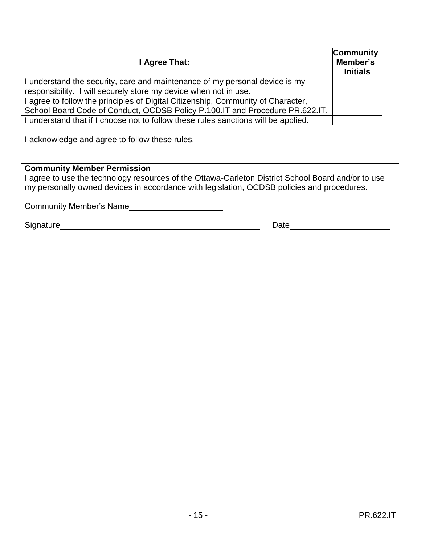| I Agree That:                                                                      | Community<br>Member's<br><b>Initials</b> |
|------------------------------------------------------------------------------------|------------------------------------------|
| I understand the security, care and maintenance of my personal device is my        |                                          |
| responsibility. I will securely store my device when not in use.                   |                                          |
| I agree to follow the principles of Digital Citizenship, Community of Character,   |                                          |
| School Board Code of Conduct, OCDSB Policy P.100.IT and Procedure PR.622.IT.       |                                          |
| I understand that if I choose not to follow these rules sanctions will be applied. |                                          |

I acknowledge and agree to follow these rules.

## **Community Member Permission**

I agree to use the technology resources of the Ottawa-Carleton District School Board and/or to use my personally owned devices in accordance with legislation, OCDSB policies and procedures.

Community Member's Name

Signature Date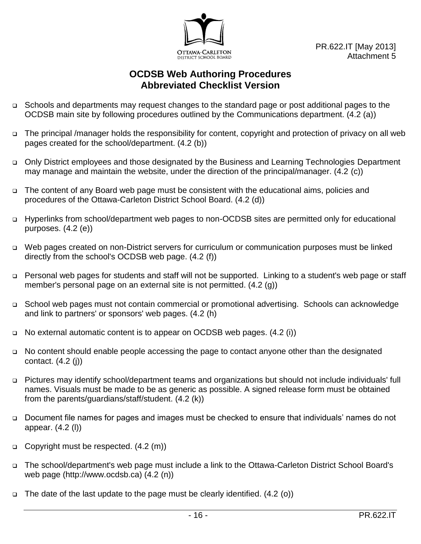

## **OCDSB Web Authoring Procedures Abbreviated Checklist Version**

- □ Schools and departments may request changes to the standard page or post additional pages to the OCDSB main site by following procedures outlined by the Communications department. (4.2 (a))
- The principal /manager holds the responsibility for content, copyright and protection of privacy on all web pages created for the school/department. (4.2 (b))
- □ Only District employees and those designated by the Business and Learning Technologies Department may manage and maintain the website, under the direction of the principal/manager. (4.2 (c))
- □ The content of any Board web page must be consistent with the educational aims, policies and procedures of the Ottawa-Carleton District School Board. (4.2 (d))
- □ Hyperlinks from school/department web pages to non-OCDSB sites are permitted only for educational purposes. (4.2 (e))
- Web pages created on non-District servers for curriculum or communication purposes must be linked directly from the school's OCDSB web page. (4.2 (f))
- □ Personal web pages for students and staff will not be supported. Linking to a student's web page or staff member's personal page on an external site is not permitted. (4.2 (g))
- School web pages must not contain commercial or promotional advertising. Schools can acknowledge and link to partners' or sponsors' web pages. (4.2 (h)
- □ No external automatic content is to appear on OCDSB web pages. (4.2 (i))
- No content should enable people accessing the page to contact anyone other than the designated contact. (4.2 (j))
- Pictures may identify school/department teams and organizations but should not include individuals' full names. Visuals must be made to be as generic as possible. A signed release form must be obtained from the parents/guardians/staff/student. (4.2 (k))
- □ Document file names for pages and images must be checked to ensure that individuals' names do not appear. (4.2 (l))
- Copyright must be respected.  $(4.2 \text{ (m)})$
- The school/department's web page must include a link to the Ottawa-Carleton District School Board's web page (http://www.ocdsb.ca) (4.2 (n))
- $\Box$  The date of the last update to the page must be clearly identified. (4.2 (o))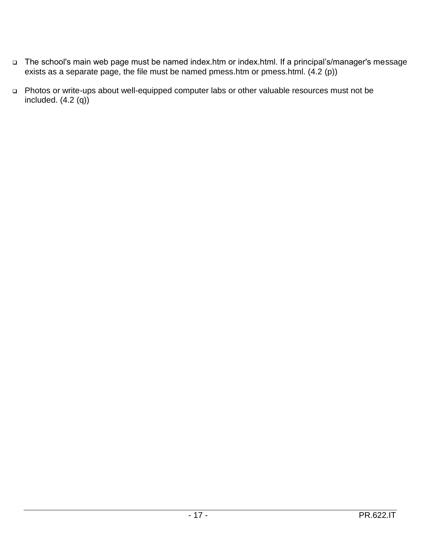- □ The school's main web page must be named index.htm or index.html. If a principal's/manager's message exists as a separate page, the file must be named pmess.htm or pmess.html. (4.2 (p))
- Photos or write-ups about well-equipped computer labs or other valuable resources must not be included.  $(4.2 \text{ (q)})$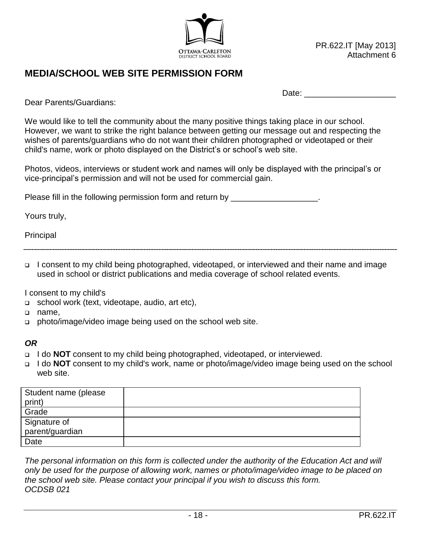

## **MEDIA/SCHOOL WEB SITE PERMISSION FORM**

Date:  $\Box$ 

Dear Parents/Guardians:

We would like to tell the community about the many positive things taking place in our school. However, we want to strike the right balance between getting our message out and respecting the wishes of parents/guardians who do not want their children photographed or videotaped or their child's name, work or photo displayed on the District's or school's web site.

Photos, videos, interviews or student work and names will only be displayed with the principal's or vice-principal's permission and will not be used for commercial gain.

Please fill in the following permission form and return by  $\qquad \qquad$ 

Yours truly,

Principal

 I consent to my child being photographed, videotaped, or interviewed and their name and image used in school or district publications and media coverage of school related events.

I consent to my child's

- □ school work (text, videotape, audio, art etc),
- name,
- □ photo/image/video image being used on the school web site.

#### *OR*

- I do **NOT** consent to my child being photographed, videotaped, or interviewed.
- I do **NOT** consent to my child's work, name or photo/image/video image being used on the school web site.

| Student name (please<br>print) |  |
|--------------------------------|--|
| Grade                          |  |
| Signature of                   |  |
| parent/guardian                |  |
| Date                           |  |

*The personal information on this form is collected under the authority of the Education Act and will only be used for the purpose of allowing work, names or photo/image/video image to be placed on the school web site. Please contact your principal if you wish to discuss this form. OCDSB 021*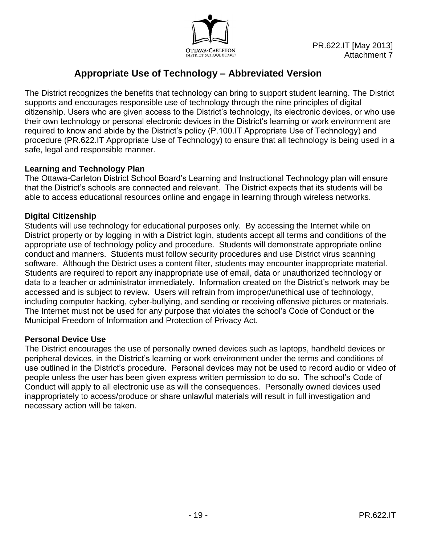

# **Appropriate Use of Technology – Abbreviated Version**

The District recognizes the benefits that technology can bring to support student learning. The District supports and encourages responsible use of technology through the nine principles of digital citizenship. Users who are given access to the District's technology, its electronic devices, or who use their own technology or personal electronic devices in the District's learning or work environment are required to know and abide by the District's policy (P.100.IT Appropriate Use of Technology) and procedure (PR.622.IT Appropriate Use of Technology) to ensure that all technology is being used in a safe, legal and responsible manner.

### **Learning and Technology Plan**

The Ottawa-Carleton District School Board's Learning and Instructional Technology plan will ensure that the District's schools are connected and relevant. The District expects that its students will be able to access educational resources online and engage in learning through wireless networks.

### **Digital Citizenship**

Students will use technology for educational purposes only. By accessing the Internet while on District property or by logging in with a District login, students accept all terms and conditions of the appropriate use of technology policy and procedure. Students will demonstrate appropriate online conduct and manners. Students must follow security procedures and use District virus scanning software. Although the District uses a content filter, students may encounter inappropriate material. Students are required to report any inappropriate use of email, data or unauthorized technology or data to a teacher or administrator immediately. Information created on the District's network may be accessed and is subject to review. Users will refrain from improper/unethical use of technology, including computer hacking, cyber-bullying, and sending or receiving offensive pictures or materials. The Internet must not be used for any purpose that violates the school's Code of Conduct or the Municipal Freedom of Information and Protection of Privacy Act.

#### **Personal Device Use**

The District encourages the use of personally owned devices such as laptops, handheld devices or peripheral devices, in the District's learning or work environment under the terms and conditions of use outlined in the District's procedure. Personal devices may not be used to record audio or video of people unless the user has been given express written permission to do so. The school's Code of Conduct will apply to all electronic use as will the consequences. Personally owned devices used inappropriately to access/produce or share unlawful materials will result in full investigation and necessary action will be taken.